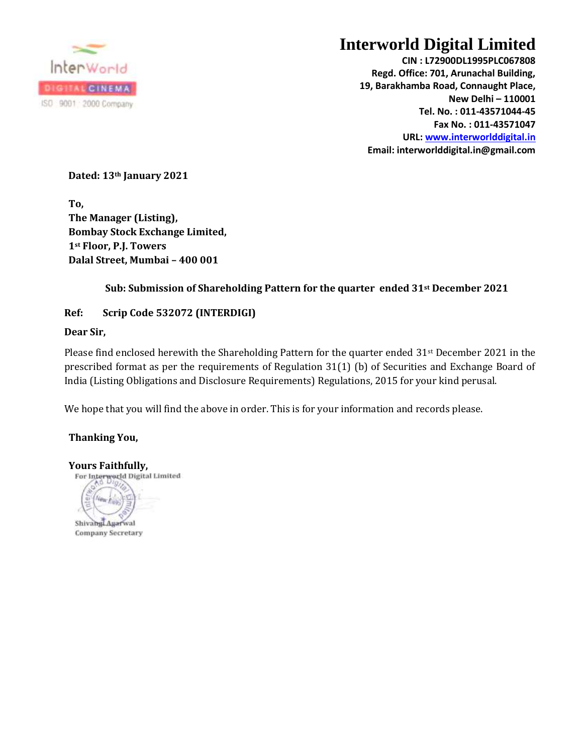

## **Interworld Digital Limited**

**CIN : L72900DL1995PLC067808 Regd. Office: 701, Arunachal Building, 19, Barakhamba Road, Connaught Place, New Delhi – 110001 Tel. No. : 011-43571044-45 Fax No. : 011-43571047 URL[: www.interworlddigital.in](http://www.interworlddigital.in/) Email: interworlddigital.in@gmail.com**

**Dated: 13th January 2021**

**To, The Manager (Listing), Bombay Stock Exchange Limited, 1st Floor, P.J. Towers Dalal Street, Mumbai – 400 001**

## **Sub: Submission of Shareholding Pattern for the quarter ended 31st December 2021**

## **Ref: Scrip Code 532072 (INTERDIGI)**

## **Dear Sir,**

Please find enclosed herewith the Shareholding Pattern for the quarter ended 31<sup>st</sup> December 2021 in the prescribed format as per the requirements of Regulation 31(1) (b) of Securities and Exchange Board of India (Listing Obligations and Disclosure Requirements) Regulations, 2015 for your kind perusal.

We hope that you will find the above in order. This is for your information and records please.

**Thanking You,**

**Yours Faithfully,**

Nas.

Shivangi Agarwal **Company Secretary**